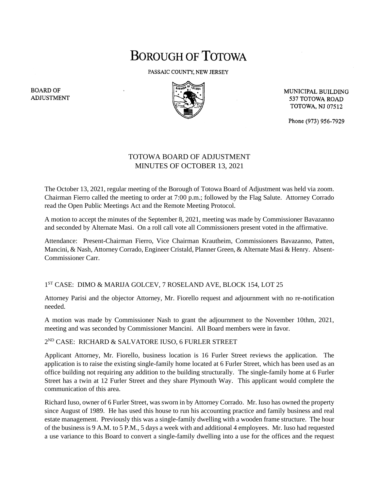# **BOROUGH OF TOTOWA**

PASSAIC COUNTY, NEW JERSEY



MUNICIPAL BUILDING 537 TOTOWA ROAD **TOTOWA, NJ 07512** 

Phone (973) 956-7929

## TOTOWA BOARD OF ADJUSTMENT MINUTES OF OCTOBER 13, 2021

The October 13, 2021, regular meeting of the Borough of Totowa Board of Adjustment was held via zoom. Chairman Fierro called the meeting to order at 7:00 p.m.; followed by the Flag Salute. Attorney Corrado read the Open Public Meetings Act and the Remote Meeting Protocol.

A motion to accept the minutes of the September 8, 2021, meeting was made by Commissioner Bavazanno and seconded by Alternate Masi. On a roll call vote all Commissioners present voted in the affirmative.

Attendance: Present-Chairman Fierro, Vice Chairman Krautheim, Commissioners Bavazanno, Patten, Mancini, & Nash, Attorney Corrado, Engineer Cristald, Planner Green, & Alternate Masi & Henry. Absent-Commissioner Carr.

### 1 ST CASE: DIMO & MARIJA GOLCEV, 7 ROSELAND AVE, BLOCK 154, LOT 25

Attorney Parisi and the objector Attorney, Mr. Fiorello request and adjournment with no re-notification needed.

A motion was made by Commissioner Nash to grant the adjournment to the November 10thm, 2021, meeting and was seconded by Commissioner Mancini. All Board members were in favor.

### 2 ND CASE: RICHARD & SALVATORE IUSO, 6 FURLER STREET

Applicant Attorney, Mr. Fiorello, business location is 16 Furler Street reviews the application. The application is to raise the existing single-family home located at 6 Furler Street, which has been used as an office building not requiring any addition to the building structurally. The single-family home at 6 Furler Street has a twin at 12 Furler Street and they share Plymouth Way. This applicant would complete the communication of this area.

Richard Iuso, owner of 6 Furler Street, was sworn in by Attorney Corrado. Mr. Iuso has owned the property since August of 1989. He has used this house to run his accounting practice and family business and real estate management. Previously this was a single-family dwelling with a wooden frame structure. The hour of the business is 9 A.M. to 5 P.M., 5 days a week with and additional 4 employees. Mr. Iuso had requested a use variance to this Board to convert a single-family dwelling into a use for the offices and the request

**BOARD OF ADJUSTMENT**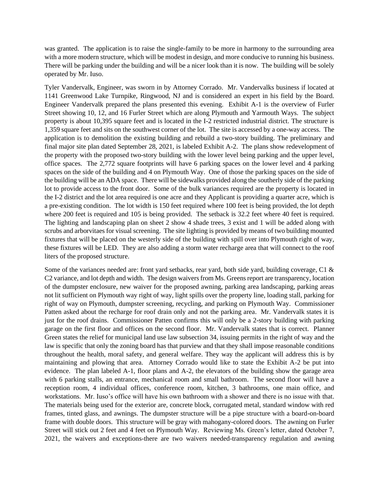was granted. The application is to raise the single-family to be more in harmony to the surrounding area with a more modern structure, which will be modest in design, and more conducive to running his business. There will be parking under the building and will be a nicer look than it is now. The building will be solely operated by Mr. Iuso.

Tyler Vandervalk, Engineer, was sworn in by Attorney Corrado. Mr. Vandervalks business if located at 1141 Greenwood Lake Turnpike, Ringwood, NJ and is considered an expert in his field by the Board. Engineer Vandervalk prepared the plans presented this evening. Exhibit A-1 is the overview of Furler Street showing 10, 12, and 16 Furler Street which are along Plymouth and Yarmouth Ways. The subject property is about 10,395 square feet and is located in the I-2 restricted industrial district. The structure is 1,359 square feet and sits on the southwest corner of the lot. The site is accessed by a one-way access. The application is to demolition the existing building and rebuild a two-story building. The preliminary and final major site plan dated September 28, 2021, is labeled Exhibit A-2. The plans show redevelopment of the property with the proposed two-story building with the lower level being parking and the upper level, office spaces. The 2,772 square footprints will have 6 parking spaces on the lower level and 4 parking spaces on the side of the building and 4 on Plymouth Way. One of those the parking spaces on the side of the building will be an ADA space. There will be sidewalks provided along the southerly side of the parking lot to provide access to the front door. Some of the bulk variances required are the property is located in the I-2 district and the lot area required is one acre and they Applicant is providing a quarter acre, which is a pre-existing condition. The lot width is 150 feet required where 100 feet is being provided, the lot depth where 200 feet is required and 105 is being provided. The setback is 32.2 feet where 40 feet is required. The lighting and landscaping plan on sheet 2 show 4 shade trees, 3 exist and 1 will be added along with scrubs and arborvitaes for visual screening. The site lighting is provided by means of two building mounted fixtures that will be placed on the westerly side of the building with spill over into Plymouth right of way, these fixtures will be LED. They are also adding a storm water recharge area that will connect to the roof liters of the proposed structure.

Some of the variances needed are: front yard setbacks, rear yard, both side yard, building coverage, C1 & C2 variance, and lot depth and width. The design waivers from Ms. Greens report are transparency, location of the dumpster enclosure, new waiver for the proposed awning, parking area landscaping, parking areas not lit sufficient on Plymouth way right of way, light spills over the property line, loading stall, parking for right of way on Plymouth, dumpster screening, recycling, and parking on Plymouth Way. Commissioner Patten asked about the recharge for roof drain only and not the parking area. Mr. Vandervalk states it is just for the roof drains. Commissioner Patten confirms this will only be a 2-story building with parking garage on the first floor and offices on the second floor. Mr. Vandervalk states that is correct. Planner Green states the relief for municipal land use law subsection 34, issuing permits in the right of way and the law is specific that only the zoning board has that purview and that they shall impose reasonable conditions throughout the health, moral safety, and general welfare. They way the applicant will address this is by maintaining and plowing that area. Attorney Corrado would like to state the Exhibit A-2 be put into evidence. The plan labeled A-1, floor plans and A-2, the elevators of the building show the garage area with 6 parking stalls, an entrance, mechanical room and small bathroom. The second floor will have a reception room, 4 individual offices, conference room, kitchen, 3 bathrooms, one main office, and workstations. Mr. Iuso's office will have his own bathroom with a shower and there is no issue with that. The materials being used for the exterior are, concrete block, corrugated metal, standard window with red frames, tinted glass, and awnings. The dumpster structure will be a pipe structure with a board-on-board frame with double doors. This structure will be gray with mahogany-colored doors. The awning on Furler Street will stick out 2 feet and 4 feet on Plymouth Way. Reviewing Ms. Green's letter, dated October 7, 2021, the waivers and exceptions-there are two waivers needed-transparency regulation and awning